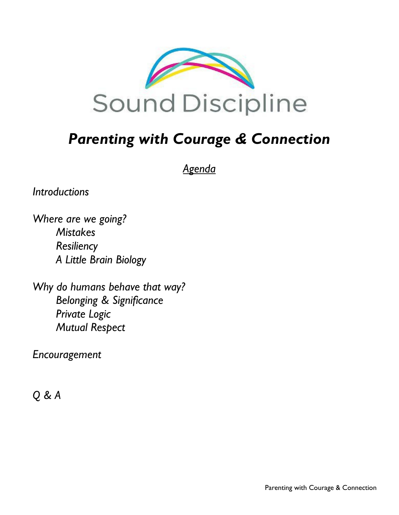

# *Parenting with Courage & Connection*

*Agenda*

*Introductions*

*Where are we going? Mistakes Resiliency A Little Brain Biology*

*Why do humans behave that way? Belonging & Significance Private Logic Mutual Respect* 

*Encouragement*

*Q & A*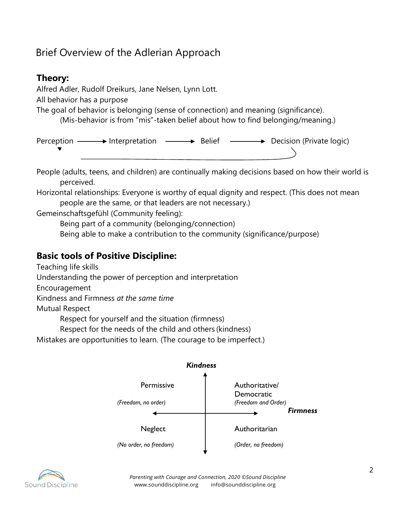# Brief Overview of the Adlerian Approach

# **Theory:**

Alfred Adler, Rudolf Dreikurs, Jane Nelsen, Lynn Lott.

All behavior has a purpose

The goal of behavior is belonging (sense of connection) and meaning (significance).

(Mis-behavior is from "mis"-taken belief about how to find belonging/meaning.)

Perception  $\longrightarrow$  Interpretation  $\longrightarrow$  Belief  $\longrightarrow$  Decision (Private logic)

People (adults, teens, and children) are continually making decisions based on how their world is perceived.

Horizontal relationships: Everyone is worthy of equal dignity and respect. (This does not mean people are the same, or that leaders are not necessary.)

Gemeinschaftsgefühl (Community feeling):

Being part of a community (belonging/connection)

Being able to make a contribution to the community (significance/purpose)

# **Basic tools of Positive Discipline:**

Teaching life skills

Understanding the power of perception and interpretation

Encouragement

Kindness and Firmness *at the same time*

Mutual Respect

Respect for yourself and the situation (firmness)

Respect for the needs of the child and others (kindness)

Mistakes are opportunities to learn. (The courage to be imperfect.)



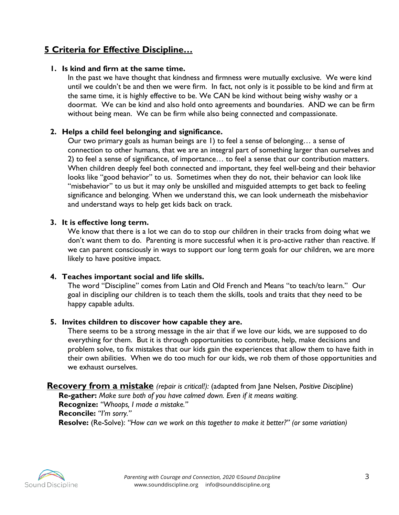# **5 Criteria for Effective Discipline…**

### **1. Is kind and firm at the same time.**

In the past we have thought that kindness and firmness were mutually exclusive. We were kind until we couldn't be and then we were firm. In fact, not only is it possible to be kind and firm at the same time, it is highly effective to be. We CAN be kind without being wishy washy or a doormat. We can be kind and also hold onto agreements and boundaries. AND we can be firm without being mean. We can be firm while also being connected and compassionate.

## **2. Helps a child feel belonging and significance.**

Our two primary goals as human beings are 1) to feel a sense of belonging… a sense of connection to other humans, that we are an integral part of something larger than ourselves and 2) to feel a sense of significance, of importance… to feel a sense that our contribution matters. When children deeply feel both connected and important, they feel well-being and their behavior looks like "good behavior" to us. Sometimes when they do not, their behavior can look like "misbehavior" to us but it may only be unskilled and misguided attempts to get back to feeling significance and belonging. When we understand this, we can look underneath the misbehavior and understand ways to help get kids back on track.

#### **3. It is effective long term.**

We know that there is a lot we can do to stop our children in their tracks from doing what we don't want them to do. Parenting is more successful when it is pro-active rather than reactive. If we can parent consciously in ways to support our long term goals for our children, we are more likely to have positive impact.

### **4. Teaches important social and life skills.**

The word "Discipline" comes from Latin and Old French and Means "to teach/to learn." Our goal in discipling our children is to teach them the skills, tools and traits that they need to be happy capable adults.

### **5. Invites children to discover how capable they are.**

There seems to be a strong message in the air that if we love our kids, we are supposed to do everything for them. But it is through opportunities to contribute, help, make decisions and problem solve, to fix mistakes that our kids gain the experiences that allow them to have faith in their own abilities. When we do too much for our kids, we rob them of those opportunities and we exhaust ourselves.

#### **Recovery from a mistake** *(repair is critical!):* (adapted from Jane Nelsen, *Positive Discipline*) **Re-gather:** *Make sure both of you have calmed down. Even if it means waiting.*

**Recognize:** *"Whoops, I made a mistake."* **Reconcile:** *"I'm sorry."* **Resolve:** (Re-Solve): *"How can we work on this together to make it better?" (or some variation)*

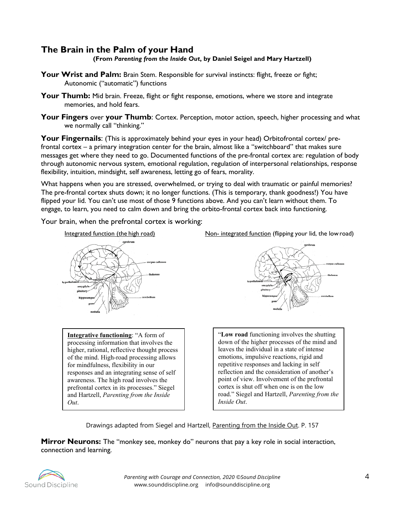# **The Brain in the Palm of your Hand**

**(From** *Parenting from the Inside Out***, by Daniel Seigel and Mary Hartzell)**

- Your Wrist and Palm: Brain Stem. Responsible for survival instincts: flight, freeze or fight; Autonomic ("automatic") functions
- Your Thumb: Mid brain. Freeze, flight or fight response, emotions, where we store and integrate memories, and hold fears.
- **Your Fingers** over **your Thumb**: Cortex. Perception, motor action, speech, higher processing and what we normally call "thinking."

Your Fingernails: (This is approximately behind your eyes in your head) Orbitofrontal cortex/ prefrontal cortex – a primary integration center for the brain, almost like a "switchboard" that makes sure messages get where they need to go. Documented functions of the pre-frontal cortex are: regulation of body through autonomic nervous system, emotional regulation, regulation of interpersonal relationships, response flexibility, intuition, mindsight, self awareness, letting go of fears, morality.

What happens when you are stressed, overwhelmed, or trying to deal with traumatic or painful memories? The pre-frontal cortex shuts down; it no longer functions. (This is temporary, thank goodness!) You have flipped your lid. You can't use most of those 9 functions above. And you can't learn without them. To engage, to learn, you need to calm down and bring the orbito-frontal cortex back into functioning.

Your brain, when the prefrontal cortex is working:



**Integrative functioning**: "A form of processing information that involves the higher, rational, reflective thought process of the mind. High-road processing allows for mindfulness, flexibility in our responses and an integrating sense of self awareness. The high road involves the prefrontal cortex in its processes." Siegel and Hartzell, *Parenting from the Inside Out*.

Integrated function (the high road) Non- integrated function (flipping your lid, the lowroad)



"**Low road** functioning involves the shutting down of the higher processes of the mind and leaves the individual in a state of intense emotions, impulsive reactions, rigid and repetitive responses and lacking in self reflection and the consideration of another's point of view. Involvement of the prefrontal cortex is shut off when one is on the low road." Siegel and Hartzell, *Parenting from the Inside Out*.

Drawings adapted from Siegel and Hartzell, Parenting from the Inside Out. P. 157

**Mirror Neurons:** The "monkey see, monkey do" neurons that pay a key role in social interaction, connection and learning.

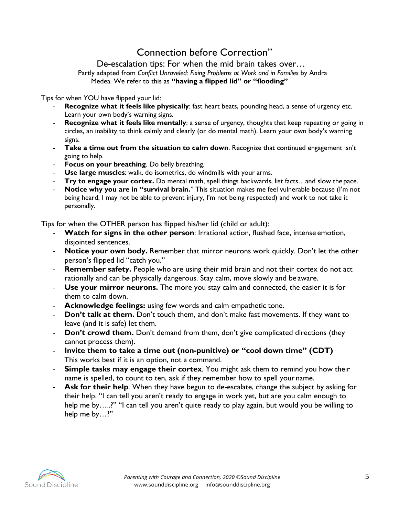# Connection before Correction"

De-escalation tips: For when the mid brain takes over…

Partly adapted from *Conflict Unraveled: Fixing Problems at Work and in Families* by Andra Medea. We refer to this as **"having a flipped lid" or "flooding"**

Tips for when YOU have flipped your lid:

- **Recognize what it feels like physically**: fast heart beats, pounding head, a sense of urgency etc. Learn your own body's warning signs.
- **Recognize what it feels like mentally**: a sense of urgency, thoughts that keep repeating or going in circles, an inability to think calmly and clearly (or do mental math). Learn your own body's warning signs.
- **Take a time out from the situation to calm down**. Recognize that continued engagement isn't going to help.
- Focus on your breathing. Do belly breathing.
- Use large muscles: walk, do isometrics, do windmills with your arms.
- **Try to engage your cortex.** Do mental math, spell things backwards, list facts…and slow the pace.
- Notice why you are in "survival brain." This situation makes me feel vulnerable because (I'm not being heard, I may not be able to prevent injury, I'm not being respected) and work to not take it personally.

Tips for when the OTHER person has flipped his/her lid (child or adult):

- **Watch for signs in the other person:** Irrational action, flushed face, intense emotion, disjointed sentences.
- Notice your own body. Remember that mirror neurons work quickly. Don't let the other person's flipped lid "catch you."
- **Remember safety.** People who are using their mid brain and not their cortex do not act rationally and can be physically dangerous. Stay calm, move slowly and be aware.
- Use your mirror neurons. The more you stay calm and connected, the easier it is for them to calm down.
- Acknowledge feelings: using few words and calm empathetic tone.
- **Don't talk at them.** Don't touch them, and don't make fast movements. If they want to leave (and it is safe) let them.
- **Don't crowd them.** Don't demand from them, don't give complicated directions (they cannot process them).
- **Invite them to take a time out (non-punitive) or "cool down time" (CDT)**  This works best if it is an option, not a command.
- **Simple tasks may engage their cortex**. You might ask them to remind you how their name is spelled, to count to ten, ask if they remember how to spell your name.
- **Ask for their help**. When they have begun to de-escalate, change the subject by asking for their help. "I can tell you aren't ready to engage in work yet, but are you calm enough to help me by…..?" "I can tell you aren't quite ready to play again, but would you be willing to help me by…?"

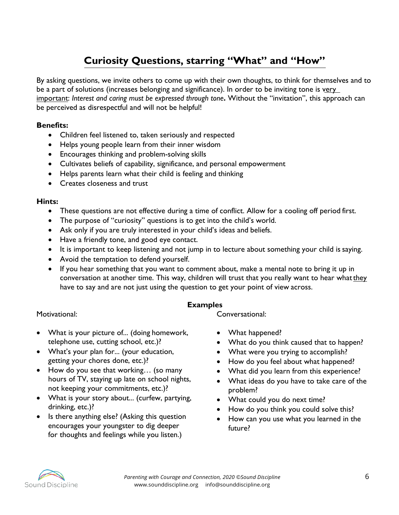# **Curiosity Questions, starring "What" and "How"**

By asking questions, we invite others to come up with their own thoughts, to think for themselves and to be a part of solutions (increases belonging and significance). In order to be inviting tone is very important: *Interest and caring must be expressed through tone***.** Without the "invitation", this approach can be perceived as disrespectful and will not be helpful!

## **Benefits:**

- Children feel listened to, taken seriously and respected
- Helps young people learn from their inner wisdom
- Encourages thinking and problem-solving skills
- Cultivates beliefs of capability, significance, and personal empowerment
- Helps parents learn what their child is feeling and thinking
- Creates closeness and trust

### **Hints:**

- These questions are not effective during a time of conflict. Allow for a cooling off period first.
- The purpose of "curiosity" questions is to get into the child's world.
- Ask only if you are truly interested in your child's ideas and beliefs.
- Have a friendly tone, and good eye contact.
- It is important to keep listening and not jump in to lecture about something your child is saying.
- Avoid the temptation to defend yourself.
- If you hear something that you want to comment about, make a mental note to bring it up in conversation at another time. This way, children will trust that you really want to hear what they have to say and are not just using the question to get your point of view across.

### **Examples**

Motivational:

- What is your picture of... (doing homework, telephone use, cutting school, etc.)?
- What's your plan for... (your education, getting your chores done, etc.)?
- How do you see that working... (so many hours of TV, staying up late on school nights, not keeping your commitments, etc.)?
- What is your story about... (curfew, partying, drinking, etc.)?
- Is there anything else? (Asking this question encourages your youngster to dig deeper for thoughts and feelings while you listen.)

Conversational:

- What happened?
- What do you think caused that to happen?
- What were you trying to accomplish?
- How do you feel about what happened?
- What did you learn from this experience?
- What ideas do you have to take care of the problem?
- What could you do next time?
- How do you think you could solve this?
- How can you use what you learned in the future?